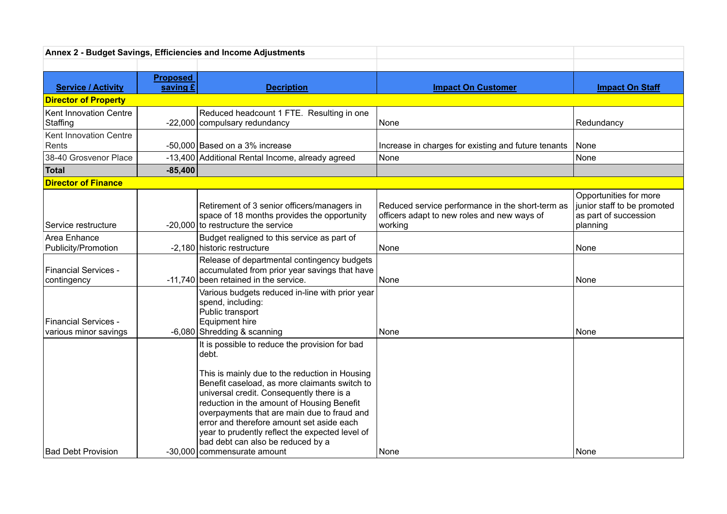| Annex 2 - Budget Savings, Efficiencies and Income Adjustments |                 |                                                                                                                                                                                                                                                                                                                                                                                                                                                                          |                                                                                                            |                                                                                            |
|---------------------------------------------------------------|-----------------|--------------------------------------------------------------------------------------------------------------------------------------------------------------------------------------------------------------------------------------------------------------------------------------------------------------------------------------------------------------------------------------------------------------------------------------------------------------------------|------------------------------------------------------------------------------------------------------------|--------------------------------------------------------------------------------------------|
|                                                               |                 |                                                                                                                                                                                                                                                                                                                                                                                                                                                                          |                                                                                                            |                                                                                            |
|                                                               | <b>Proposed</b> |                                                                                                                                                                                                                                                                                                                                                                                                                                                                          |                                                                                                            |                                                                                            |
| <b>Service / Activity</b>                                     | saving £        | <b>Decription</b>                                                                                                                                                                                                                                                                                                                                                                                                                                                        | <b>Impact On Customer</b>                                                                                  | <b>Impact On Staff</b>                                                                     |
| <b>Director of Property</b>                                   |                 |                                                                                                                                                                                                                                                                                                                                                                                                                                                                          |                                                                                                            |                                                                                            |
| <b>Kent Innovation Centre</b>                                 |                 | Reduced headcount 1 FTE. Resulting in one                                                                                                                                                                                                                                                                                                                                                                                                                                |                                                                                                            |                                                                                            |
| Staffing                                                      |                 | -22,000 compulsary redundancy                                                                                                                                                                                                                                                                                                                                                                                                                                            | None                                                                                                       | Redundancy                                                                                 |
| <b>Kent Innovation Centre</b>                                 |                 |                                                                                                                                                                                                                                                                                                                                                                                                                                                                          |                                                                                                            |                                                                                            |
| Rents                                                         |                 | -50,000 Based on a 3% increase                                                                                                                                                                                                                                                                                                                                                                                                                                           | Increase in charges for existing and future tenants                                                        | None                                                                                       |
| 38-40 Grosvenor Place                                         |                 | -13,400 Additional Rental Income, already agreed                                                                                                                                                                                                                                                                                                                                                                                                                         | None                                                                                                       | None                                                                                       |
| Total                                                         | $-85,400$       |                                                                                                                                                                                                                                                                                                                                                                                                                                                                          |                                                                                                            |                                                                                            |
| <b>Director of Finance</b>                                    |                 |                                                                                                                                                                                                                                                                                                                                                                                                                                                                          |                                                                                                            |                                                                                            |
| Service restructure                                           |                 | Retirement of 3 senior officers/managers in<br>space of 18 months provides the opportunity<br>-20,000 to restructure the service                                                                                                                                                                                                                                                                                                                                         | Reduced service performance in the short-term as<br>officers adapt to new roles and new ways of<br>working | Opportunities for more<br>junior staff to be promoted<br>as part of succession<br>planning |
| Area Enhance<br>Publicity/Promotion                           |                 | Budget realigned to this service as part of<br>-2,180 historic restructure                                                                                                                                                                                                                                                                                                                                                                                               | None                                                                                                       | None                                                                                       |
| <b>Financial Services -</b><br>contingency                    |                 | Release of departmental contingency budgets<br>accumulated from prior year savings that have<br>-11,740 been retained in the service.                                                                                                                                                                                                                                                                                                                                    | None                                                                                                       | l None                                                                                     |
| <b>Financial Services -</b><br>various minor savings          |                 | Various budgets reduced in-line with prior year<br>spend, including:<br>Public transport<br><b>Equipment hire</b><br>$-6,080$ Shredding & scanning                                                                                                                                                                                                                                                                                                                       | None                                                                                                       | None                                                                                       |
| <b>Bad Debt Provision</b>                                     |                 | It is possible to reduce the provision for bad<br>debt.<br>This is mainly due to the reduction in Housing<br>Benefit caseload, as more claimants switch to<br>universal credit. Consequently there is a<br>reduction in the amount of Housing Benefit<br>overpayments that are main due to fraud and<br>error and therefore amount set aside each<br>year to prudently reflect the expected level of<br>bad debt can also be reduced by a<br>-30,000 commensurate amount | None                                                                                                       | None                                                                                       |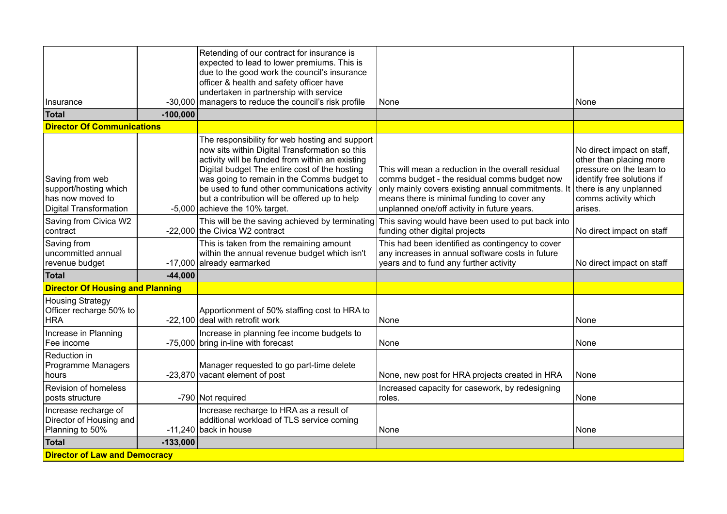|                                                                                        |            | Retending of our contract for insurance is<br>expected to lead to lower premiums. This is<br>due to the good work the council's insurance<br>officer & health and safety officer have                                                                                                                                                                                                    |                                                                                                                                                                                                                                                        |                                                                                                                                                                             |  |  |
|----------------------------------------------------------------------------------------|------------|------------------------------------------------------------------------------------------------------------------------------------------------------------------------------------------------------------------------------------------------------------------------------------------------------------------------------------------------------------------------------------------|--------------------------------------------------------------------------------------------------------------------------------------------------------------------------------------------------------------------------------------------------------|-----------------------------------------------------------------------------------------------------------------------------------------------------------------------------|--|--|
|                                                                                        |            | undertaken in partnership with service                                                                                                                                                                                                                                                                                                                                                   |                                                                                                                                                                                                                                                        |                                                                                                                                                                             |  |  |
| Insurance                                                                              | $-30,000$  | managers to reduce the council's risk profile                                                                                                                                                                                                                                                                                                                                            | None                                                                                                                                                                                                                                                   | None                                                                                                                                                                        |  |  |
| Total                                                                                  | $-100,000$ |                                                                                                                                                                                                                                                                                                                                                                                          |                                                                                                                                                                                                                                                        |                                                                                                                                                                             |  |  |
| <b>Director Of Communications</b>                                                      |            |                                                                                                                                                                                                                                                                                                                                                                                          |                                                                                                                                                                                                                                                        |                                                                                                                                                                             |  |  |
| Saving from web<br>support/hosting which<br>has now moved to<br>Digital Transformation |            | The responsibility for web hosting and support<br>now sits within Digital Transformation so this<br>activity will be funded from within an existing<br>Digital budget The entire cost of the hosting<br>was going to remain in the Comms budget to<br>be used to fund other communications activity<br>but a contribution will be offered up to help<br>$-5,000$ achieve the 10% target. | This will mean a reduction in the overall residual<br>comms budget - the residual comms budget now<br>only mainly covers existing annual commitments. It<br>means there is minimal funding to cover any<br>unplanned one/off activity in future years. | No direct impact on staff,<br>other than placing more<br>pressure on the team to<br>identify free solutions if<br>there is any unplanned<br>comms activity which<br>arises. |  |  |
| Saving from Civica W2<br>contract                                                      |            | -22,000 the Civica W2 contract                                                                                                                                                                                                                                                                                                                                                           | This will be the saving achieved by terminating This saving would have been used to put back into<br>funding other digital projects                                                                                                                    | No direct impact on staff                                                                                                                                                   |  |  |
| Saving from<br>uncommitted annual<br>revenue budget                                    |            | This is taken from the remaining amount<br>within the annual revenue budget which isn't<br>-17,000 already earmarked                                                                                                                                                                                                                                                                     | This had been identified as contingency to cover<br>any increases in annual software costs in future<br>years and to fund any further activity                                                                                                         | No direct impact on staff                                                                                                                                                   |  |  |
| <b>Total</b>                                                                           | $-44,000$  |                                                                                                                                                                                                                                                                                                                                                                                          |                                                                                                                                                                                                                                                        |                                                                                                                                                                             |  |  |
| <b>Director Of Housing and Planning</b>                                                |            |                                                                                                                                                                                                                                                                                                                                                                                          |                                                                                                                                                                                                                                                        |                                                                                                                                                                             |  |  |
| <b>Housing Strategy</b><br>Officer recharge 50% to<br><b>HRA</b>                       |            | Apportionment of 50% staffing cost to HRA to<br>-22,100 deal with retrofit work                                                                                                                                                                                                                                                                                                          | None                                                                                                                                                                                                                                                   | None                                                                                                                                                                        |  |  |
| Increase in Planning<br>Fee income                                                     |            | Increase in planning fee income budgets to<br>-75,000 bring in-line with forecast                                                                                                                                                                                                                                                                                                        | None                                                                                                                                                                                                                                                   | None                                                                                                                                                                        |  |  |
| Reduction in<br>Programme Managers<br>hours                                            |            | Manager requested to go part-time delete<br>$-23,870$ vacant element of post                                                                                                                                                                                                                                                                                                             | None, new post for HRA projects created in HRA                                                                                                                                                                                                         | None                                                                                                                                                                        |  |  |
| <b>Revision of homeless</b><br>posts structure                                         |            | -790 Not required                                                                                                                                                                                                                                                                                                                                                                        | Increased capacity for casework, by redesigning<br>roles.                                                                                                                                                                                              | None                                                                                                                                                                        |  |  |
| Increase recharge of<br>Director of Housing and<br>Planning to 50%                     |            | Increase recharge to HRA as a result of<br>additional workload of TLS service coming<br>-11,240 back in house                                                                                                                                                                                                                                                                            | None                                                                                                                                                                                                                                                   | None                                                                                                                                                                        |  |  |
| Total                                                                                  | $-133,000$ |                                                                                                                                                                                                                                                                                                                                                                                          |                                                                                                                                                                                                                                                        |                                                                                                                                                                             |  |  |
| <b>Director of Law and Democracy</b>                                                   |            |                                                                                                                                                                                                                                                                                                                                                                                          |                                                                                                                                                                                                                                                        |                                                                                                                                                                             |  |  |